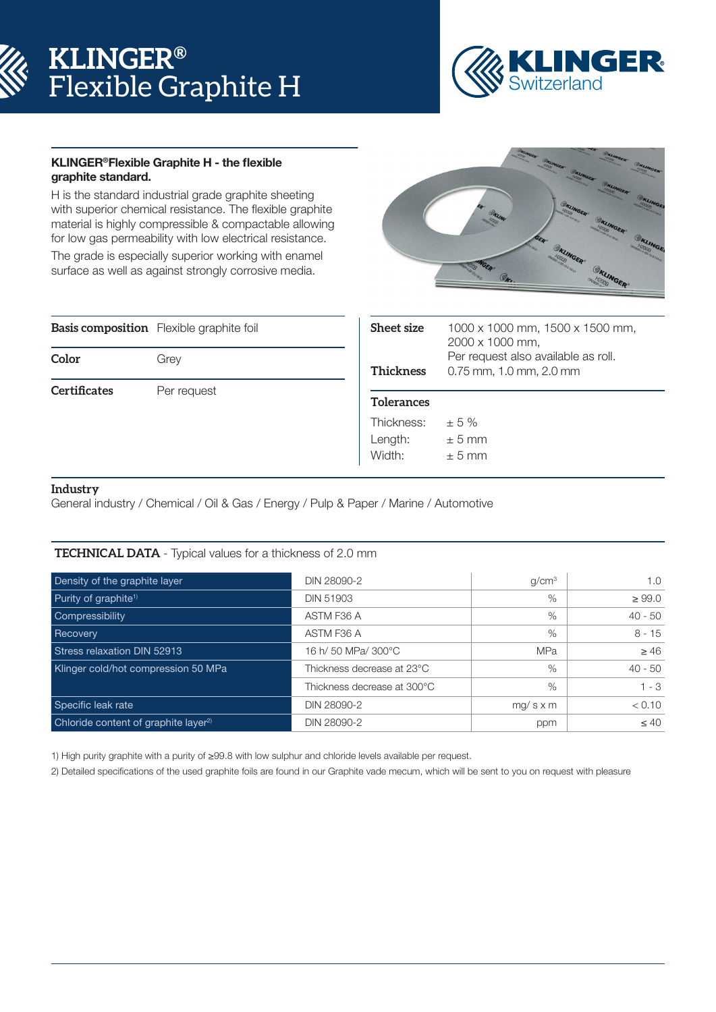# **KLINGER®** Flexible Graphite H



#### KLINGER®Flexible Graphite H - the flexible graphite standard.

H is the standard industrial grade graphite sheeting with superior chemical resistance. The flexible graphite material is highly compressible & compactable allowing for low gas permeability with low electrical resistance.

The grade is especially superior working with enamel surface as well as against strongly corrosive media.



|                     | <b>Basis composition</b> Flexible graphite foil |
|---------------------|-------------------------------------------------|
| Color               | Grey                                            |
| <b>Certificates</b> | Per request                                     |

| <b>Sheet size</b><br><b>Thickness</b> | 1000 x 1000 mm, 1500 x 1500 mm,<br>2000 x 1000 mm,<br>Per request also available as roll.<br>0.75 mm, 1.0 mm, 2.0 mm |
|---------------------------------------|----------------------------------------------------------------------------------------------------------------------|
| <b>Tolerances</b>                     |                                                                                                                      |
| Thickness:<br>Length:<br>Width:       | $+5%$<br>$\pm$ 5 mm<br>$+5$ mm                                                                                       |
|                                       |                                                                                                                      |

### **Industry**

General industry / Chemical / Oil & Gas / Energy / Pulp & Paper / Marine / Automotive

#### **TECHNICAL DATA** - Typical values for a thickness of 2.0 mm

| Density of the graphite layer                    | DIN 28090-2                 | g/cm <sup>3</sup> | 1.0         |
|--------------------------------------------------|-----------------------------|-------------------|-------------|
| Purity of graphite <sup>1)</sup>                 | <b>DIN 51903</b>            | %                 | $\geq 99.0$ |
| Compressibility                                  | ASTM F36 A                  | $\%$              | $40 - 50$   |
| Recovery                                         | ASTM F36 A                  | $\%$              | $8 - 15$    |
| Stress relaxation DIN 52913                      | 16 h/ 50 MPa/ 300°C         | <b>MPa</b>        | > 46        |
| Klinger cold/hot compression 50 MPa              | Thickness decrease at 23°C  | $\%$              | $40 - 50$   |
|                                                  | Thickness decrease at 300°C | $\%$              | $1 - 3$     |
| Specific leak rate                               | DIN 28090-2                 | $mg/s \times m$   | < 0.10      |
| Chloride content of graphite layer <sup>2)</sup> | DIN 28090-2                 | ppm               | $\leq 40$   |

1) High purity graphite with a purity of ≥99.8 with low sulphur and chloride levels available per request.

2) Detailed specifications of the used graphite foils are found in our Graphite vade mecum, which will be sent to you on request with pleasure